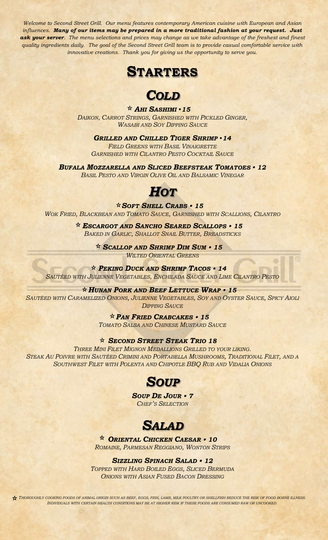*Welcome to Second Street Grill. Our menu features contemporary American cuisine with European and Asian influences. Many of our items may be prepared in a more traditional fashion at your request. Just ask your server. The menu selections and prices may change as we take advantage of the freshest and finest quality ingredients daily. The goal of the Second Street Grill team is to provide casual comfortable service with innovative creations. Thank you for giving us the opportunity to serve you.*





*AHI SASHIMI 15 DAIKON, CARROT STRINGS, GARNISHED WITH PICKLED GINGER, WASABI AND SOY DIPPING SAUCE*

*GRILLED AND CHILLED TIGER SHRIMP 14 FIELD GREENS WITH BASIL VINAIGRETTE GARNISHED WITH CILANTRO PESTO COCKTAIL SAUCE*

*BUFALA MOZZARELLA AND SLICED BEEFSTEAK TOMATOES 12 BASIL PESTO AND VIRGIN OLIVE OIL AND BALSAMIC VINEGAR*

## *HOT*

*SOFT SHELL CRABS 15*

*WOK FRIED, BLACKBEAN AND TOMATO SAUCE, GARNISHED WITH SCALLIONS, CILANTRO*

*ESCARGOT AND SANCHO SEARED SCALLOPS 15 BAKED IN GARLIC, SHALLOT SNAIL BUTTER, BREADSTICKS*

> *SCALLOP AND SHRIMP DIM SUM 15 WILTED ORIENTAL GREENS*

#### *PEKING DUCK AND SHRIMP TACOS 14*

*SAUTÉED WITH JULIENNE VEGETABLES, ENCHILADA SAUCE AND LIME CILANTRO PESTO*

### *HUNAN PORK AND BEEF LETTUCE WRAP 15*

*SAUTÉED WITH CARAMELIZED ONIONS, JULIENNE VEGETABLES, SOY AND OYSTER SAUCE, SPICY AIOLI DIPPING SAUCE*

> *PAN FRIED CRABCAKES 15 TOMATO SALSA AND CHINESE MUSTARD SAUCE*

## *SECOND STREET STEAK TRIO 18*

*THREE MINI FILET MIGNON MEDALLIONS GRILLED TO YOUR LIKING. STEAK AU POIVRE WITH SAUTÉED CRIMINI AND PORTABELLA MUSHROOMS, TRADITIONAL FILET, AND A SOUTHWEST FILET WITH POLENTA AND CHIPOTLE BBQ RUB AND VIDALIA ONIONS*

## *SOUP*

*SOUP DE JOUR 7 CHEF'S SELECTION*



*ORIENTAL CHICKEN CAESAR 10 ROMAINE, PARMESAN REGGIANO, WONTON STRIPS*

*SIZZLING SPINACH SALAD 12*

*TOPPED WITH HARD BOILED EGGS, SLICED BERMUDA ONIONS WITH ASIAN FUSED BACON DRESSING*

*THOROUGHLY COOKING FOODS OF ANIMAL ORIGIN SUCH AS BEEF, EGGS, FISH, LAMB, MILK POULTRY OR SHELLFISH REDUCE THE RISK OF FOOD BORNE ILLNESS. INDIVIDUALS WITH CERTAIN HEALTH CONDITIONS MAY BE AT HIGHER RISK IF THESE FOODS ARE CONSUMED RAW OR UNCOOKED.*